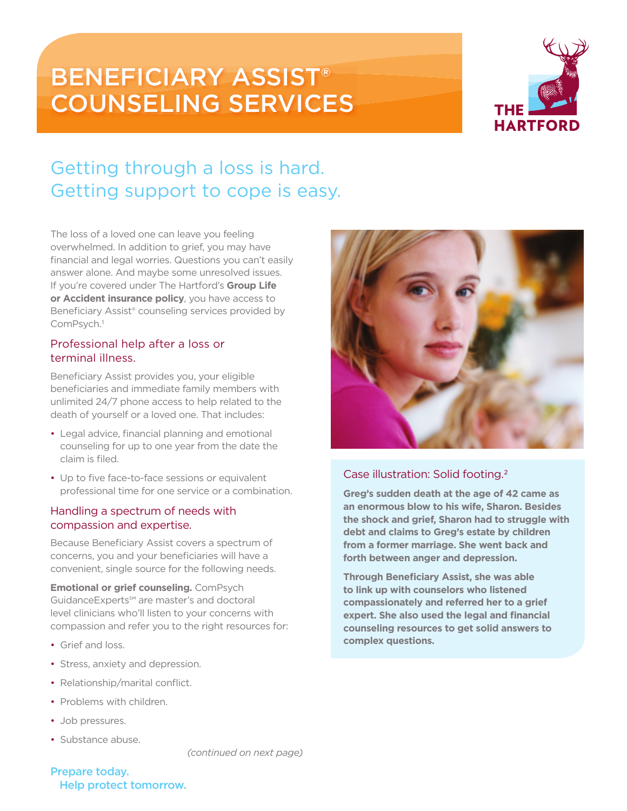# BENEFICIARY ASSIST® COUNSELING SERVICES



# Getting through a loss is hard. Getting support to cope is easy.

The loss of a loved one can leave you feeling overwhelmed. In addition to grief, you may have financial and legal worries. Questions you can't easily answer alone. And maybe some unresolved issues. If you're covered under The Hartford's **Group Life or Accident insurance policy**, you have access to Beneficiary Assist® counseling services provided by ComPsych.1

### Professional help after a loss or terminal illness.

Beneficiary Assist provides you, your eligible beneficiaries and immediate family members with unlimited 24/7 phone access to help related to the death of yourself or a loved one. That includes:

- Legal advice, financial planning and emotional counseling for up to one year from the date the claim is filed.
- Up to five face-to-face sessions or equivalent professional time for one service or a combination.

### Handling a spectrum of needs with compassion and expertise.

Because Beneficiary Assist covers a spectrum of concerns, you and your beneficiaries will have a convenient, single source for the following needs.

**Emotional or grief counseling.** ComPsych GuidanceExperts℠ are master's and doctoral level clinicians who'll listen to your concerns with compassion and refer you to the right resources for:

- Grief and loss.
- Stress, anxiety and depression.
- Relationship/marital conflict.
- Problems with children.
- Job pressures.
- Substance abuse.

### Case illustration: Solid footing.2

**Greg's sudden death at the age of 42 came as an enormous blow to his wife, Sharon. Besides the shock and grief, Sharon had to struggle with debt and claims to Greg's estate by children from a former marriage. She went back and forth between anger and depression.**

**Through Beneficiary Assist, she was able to link up with counselors who listened compassionately and referred her to a grief expert. She also used the legal and financial counseling resources to get solid answers to complex questions.**

*(continued on next page)*

### Prepare today. Help protect tomorrow.